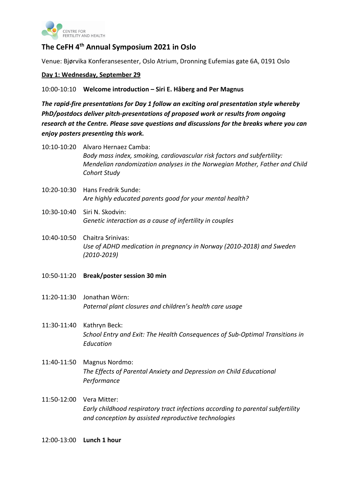

# **The CeFH 4th Annual Symposium 2021 in Oslo**

Venue: Bjørvika Konferansesenter, Oslo Atrium, Dronning Eufemias gate 6A, 0191 Oslo

## **Day 1: Wednesday, September 29**

### 10:00-10:10 **Welcome introduction – Siri E. Håberg and Per Magnus**

*The rapid-fire presentations for Day 1 follow an exciting oral presentation style whereby PhD/postdocs deliver pitch-presentations of proposed work or results from ongoing research at the Centre. Please save questions and discussions for the breaks where you can enjoy posters presenting this work.*

- 10:10-10:20 Alvaro Hernaez Camba: *Body mass index, smoking, cardiovascular risk factors and subfertility: Mendelian randomization analyses in the Norwegian Mother, Father and Child Cohort Study*
- 10:20-10:30 Hans Fredrik Sunde: *Are highly educated parents good for your mental health?*
- 10:30-10:40 Siri N. Skodvin: *Genetic interaction as a cause of infertility in couples*
- 10:40-10:50 Chaitra Srinivas: *Use of ADHD medication in pregnancy in Norway (2010-2018) and Sweden (2010-2019)*
- 10:50-11:20 **Break/poster session 30 min**
- 11:20-11:30 Jonathan Wörn: *Paternal plant closures and children's health care usage*
- 11:30-11:40 Kathryn Beck: *School Entry and Exit: The Health Consequences of Sub-Optimal Transitions in Education*
- 11:40-11:50 Magnus Nordmo: *The Effects of Parental Anxiety and Depression on Child Educational Performance*
- 11:50-12:00 Vera Mitter: *Early childhood respiratory tract infections according to parental subfertility and conception by assisted reproductive technologies*

12:00-13:00 **Lunch 1 hour**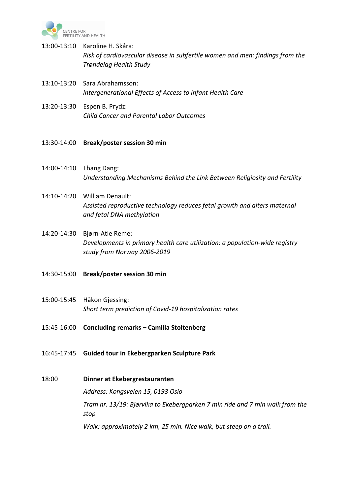

- 13:00-13:10 Karoline H. Skåra: *Risk of cardiovascular disease in subfertile women and men: findings from the Trøndelag Health Study*
- 13:10-13:20 Sara Abrahamsson: *Intergenerational Effects of Access to Infant Health Care*
- 13:20-13:30 Espen B. Prydz: *Child Cancer and Parental Labor Outcomes*
- 13:30-14:00 **Break/poster session 30 min**
- 14:00-14:10 Thang Dang: *Understanding Mechanisms Behind the Link Between Religiosity and Fertility*
- 14:10-14:20 William Denault: *Assisted reproductive technology reduces fetal growth and alters maternal and fetal DNA methylation*
- 14:20-14:30 Bjørn-Atle Reme: *Developments in primary health care utilization: a population-wide registry study from Norway 2006-2019*
- 14:30-15:00 **Break/poster session 30 min**
- 15:00-15:45 Håkon Gjessing: *Short term prediction of Covid-19 hospitalization rates*
- 15:45-16:00 **Concluding remarks – Camilla Stoltenberg**
- 16:45-17:45 **Guided tour in Ekebergparken Sculpture Park**
- 18:00 **Dinner at Ekebergrestauranten**

*Address: Kongsveien 15, 0193 Oslo* 

*Tram nr. 13/19: Bjørvika to Ekebergparken 7 min ride and 7 min walk from the stop*

*Walk: approximately 2 km, 25 min. Nice walk, but steep on a trail.*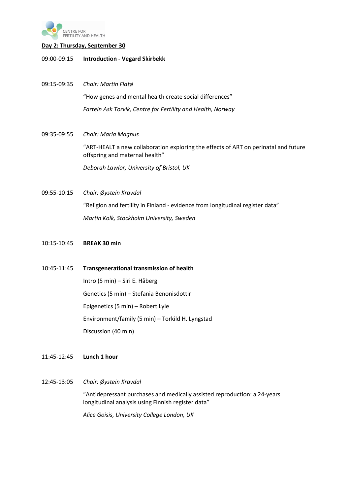

#### **Day 2: Thursday, September 30**

- 09:00-09:15 **Introduction - Vegard Skirbekk**
- 09:15-09:35 *Chair: Martin Flatø* "How genes and mental health create social differences" *Fartein Ask Torvik, Centre for Fertility and Health, Norway*
- 09:35-09:55 *Chair: Maria Magnus* "ART-HEALT a new collaboration exploring the effects of ART on perinatal and future offspring and maternal health" *Deborah Lawlor, University of Bristol, UK*
- 09:55-10:15 *Chair: Øystein Kravdal* "Religion and fertility in Finland - evidence from longitudinal register data" *Martin Kolk, Stockholm University, Sweden*
- 10:15-10:45 **BREAK 30 min**
- 10:45-11:45 **Transgenerational transmission of health** Intro (5 min) – Siri E. Håberg Genetics (5 min) – Stefania Benonisdottir Epigenetics (5 min) – Robert Lyle Environment/family (5 min) – Torkild H. Lyngstad Discussion (40 min)

### 11:45-12:45 **Lunch 1 hour**

12:45-13:05 *Chair: Øystein Kravdal*

"Antidepressant purchases and medically assisted reproduction: a 24-years longitudinal analysis using Finnish register data"

*Alice Goisis, University College London, UK*